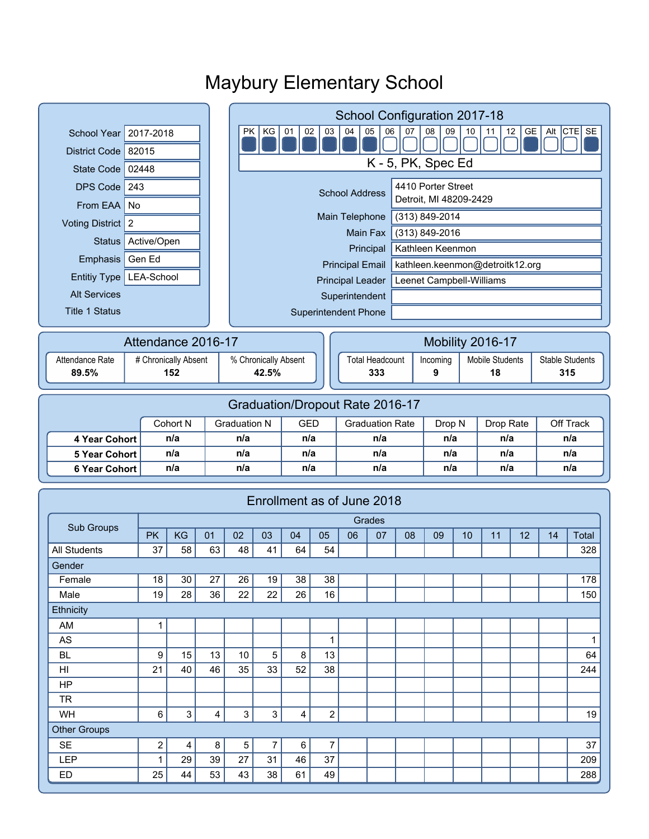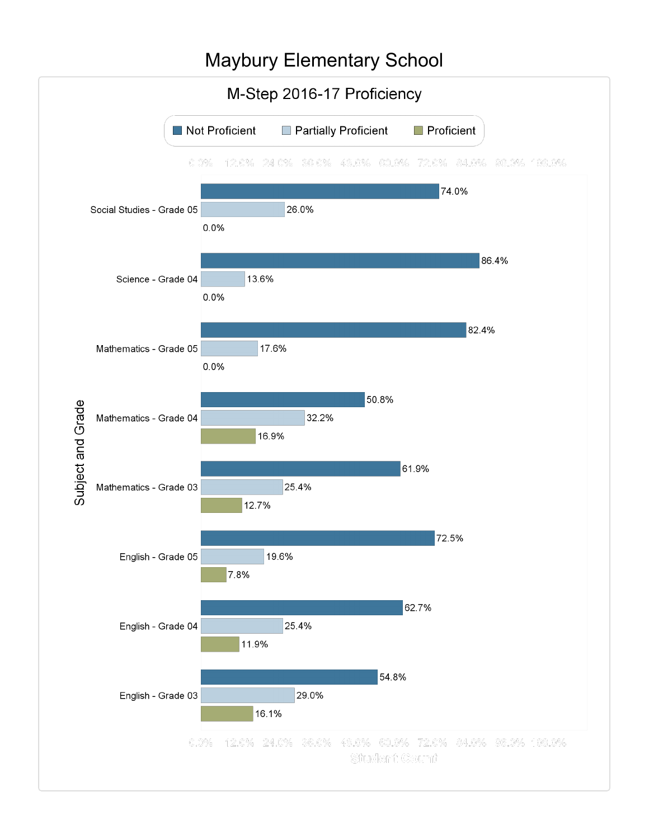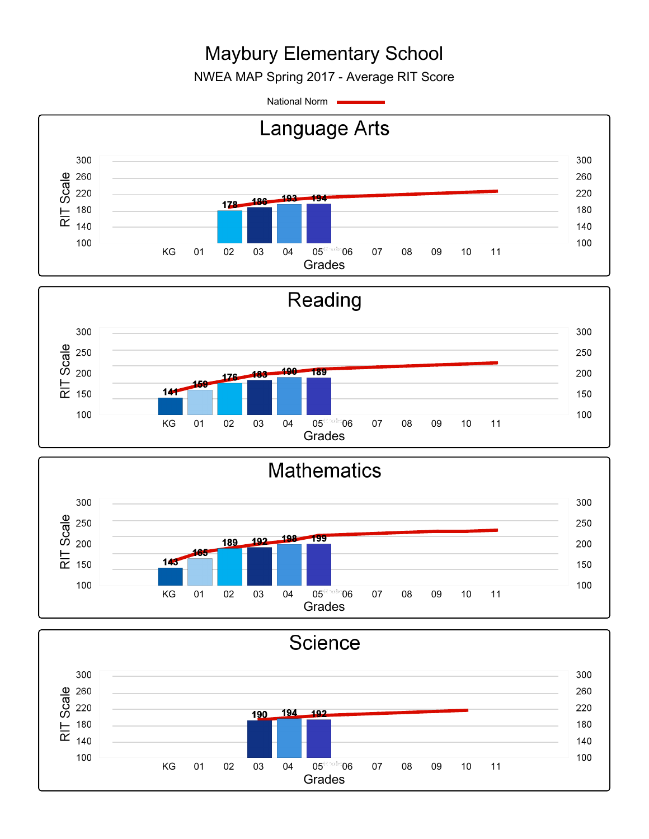NWEA MAP Spring 2017 - Average RIT Score

National Norm